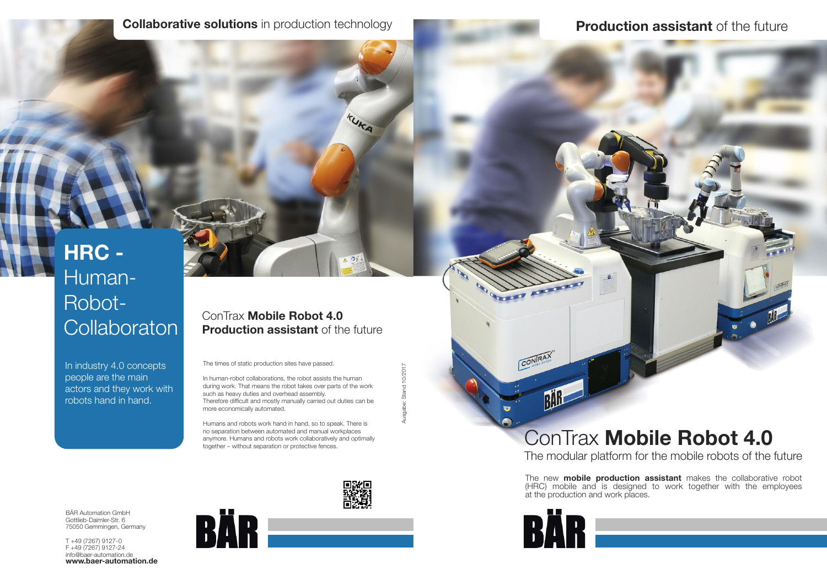### **Collaborative solutions** in production technology

# **HRC -** Human-Robot-**Collaboraton**

In industry 4.0 concepts people are the main actors and they work with robots hand in hand.

The times of static production sites have passed.

In human-robot collaborations, the robot assists the human during work. That means the robot takes over parts of the work such as heavy duties and overhead assembly. Therefore difficult and mostly manually carried out duties can be more economically automated.

Ausgabe: Stand 10/2017 Ausgabe: Stand 10/2017

Humans and robots work hand in hand, so to speak. There is no separation between automated and manual workplaces anymore. Humans and robots work collaboratively and optimally together – without separation or protective fences.

BÄR Automation GmbH Gottlieb-Daimler-Str. 6 75050 Gemmingen, Germany

T +49 (7267) 9127-0 F +49 (7267) 9127-24 info@baer-automation.de **www.baer-automation.de**





TUKA

#### ConTrax **Mobile Robot 4.0 Production assistant** of the future

# ConTrax **Mobile Robot 4.0** The modular platform for the mobile robots of the future

The new **mobile production assistant** makes the collaborative robot (HRC) mobile and is designed to work together with the employees at the production and work places.



CONRAY

RAB

# **Production assistant** of the future